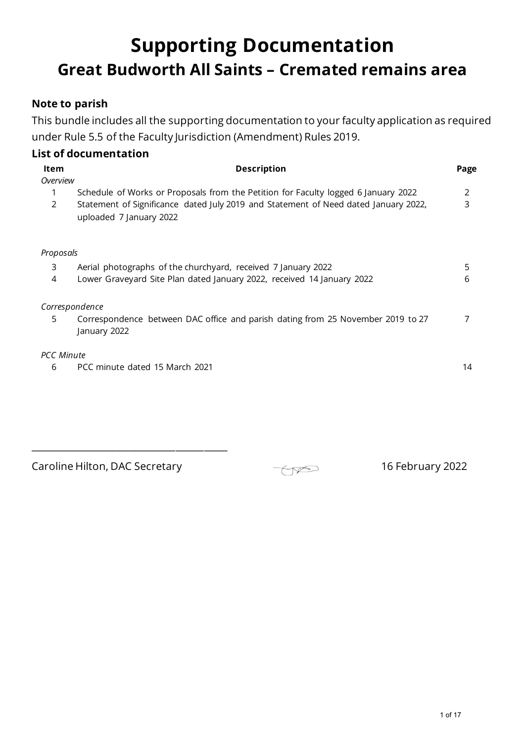# **Supporting Documentation Great Budworth All Saints – Cremated remains area**

# **Note to parish**

This bundle includes all the supporting documentation to your faculty application as required under Rule 5.5 of the Faculty Jurisdiction (Amendment) Rules 2019.

# **List of documentation**

| <b>Item</b><br>Overview | <b>Description</b>                                                                                                                                                                                   | Page   |
|-------------------------|------------------------------------------------------------------------------------------------------------------------------------------------------------------------------------------------------|--------|
| 2                       | Schedule of Works or Proposals from the Petition for Faculty logged 6 January 2022<br>Statement of Significance dated July 2019 and Statement of Need dated January 2022,<br>uploaded 7 January 2022 | 2<br>3 |
| Proposals               |                                                                                                                                                                                                      |        |
| 3                       | Aerial photographs of the churchyard, received 7 January 2022                                                                                                                                        | 5      |
| 4                       | Lower Graveyard Site Plan dated January 2022, received 14 January 2022                                                                                                                               | 6      |
| Correspondence          |                                                                                                                                                                                                      |        |
| 5                       | Correspondence between DAC office and parish dating from 25 November 2019 to 27<br>January 2022                                                                                                      | 7      |
| <b>PCC Minute</b>       |                                                                                                                                                                                                      |        |
| 6                       | PCC minute dated 15 March 2021                                                                                                                                                                       | 14     |

Caroline Hilton, DAC Secretary  $\overline{\phantom{a}}$  16 February 2022

\_\_\_\_\_\_\_\_\_\_\_\_\_\_\_\_\_\_\_\_\_\_\_\_\_\_\_\_\_\_\_\_\_\_\_\_\_\_\_\_\_\_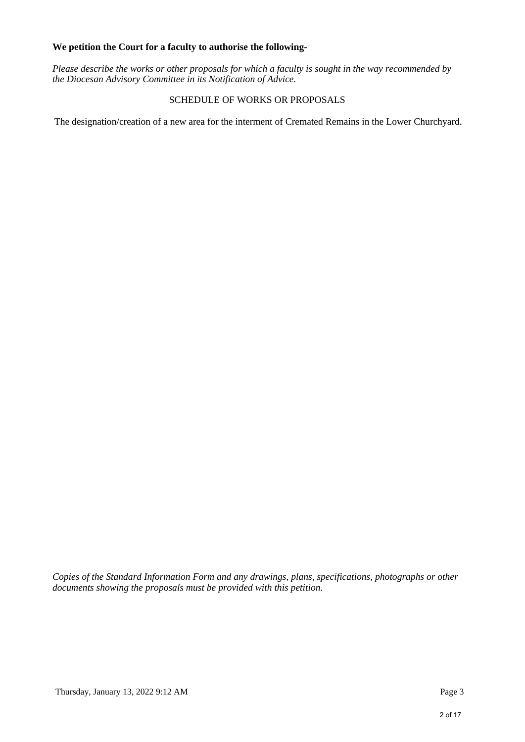#### **We petition the Court for a faculty to authorise the following-**

*Please describe the works or other proposals for which a faculty is sought in the way recommended by the Diocesan Advisory Committee in its Notification of Advice.*

#### SCHEDULE OF WORKS OR PROPOSALS

The designation/creation of a new area for the interment of Cremated Remains in the Lower Churchyard.

*Copies of the Standard Information Form and any drawings, plans, specifications, photographs or other documents showing the proposals must be provided with this petition.*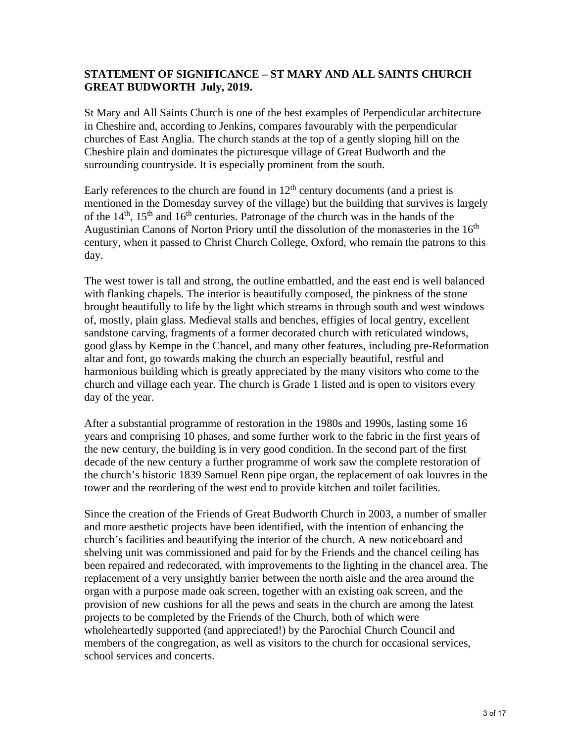# **STATEMENT OF SIGNIFICANCE – ST MARY AND ALL SAINTS CHURCH GREAT BUDWORTH July, 2019.**

St Mary and All Saints Church is one of the best examples of Perpendicular architecture in Cheshire and, according to Jenkins, compares favourably with the perpendicular churches of East Anglia. The church stands at the top of a gently sloping hill on the Cheshire plain and dominates the picturesque village of Great Budworth and the surrounding countryside. It is especially prominent from the south.

Early references to the church are found in  $12<sup>th</sup>$  century documents (and a priest is mentioned in the Domesday survey of the village) but the building that survives is largely of the  $14<sup>th</sup>$ ,  $15<sup>th</sup>$  and  $16<sup>th</sup>$  centuries. Patronage of the church was in the hands of the Augustinian Canons of Norton Priory until the dissolution of the monasteries in the  $16<sup>th</sup>$ century, when it passed to Christ Church College, Oxford, who remain the patrons to this day.

The west tower is tall and strong, the outline embattled, and the east end is well balanced with flanking chapels. The interior is beautifully composed, the pinkness of the stone brought beautifully to life by the light which streams in through south and west windows of, mostly, plain glass. Medieval stalls and benches, effigies of local gentry, excellent sandstone carving, fragments of a former decorated church with reticulated windows, good glass by Kempe in the Chancel, and many other features, including pre-Reformation altar and font, go towards making the church an especially beautiful, restful and harmonious building which is greatly appreciated by the many visitors who come to the church and village each year. The church is Grade 1 listed and is open to visitors every day of the year.

After a substantial programme of restoration in the 1980s and 1990s, lasting some 16 years and comprising 10 phases, and some further work to the fabric in the first years of the new century, the building is in very good condition. In the second part of the first decade of the new century a further programme of work saw the complete restoration of the church's historic 1839 Samuel Renn pipe organ, the replacement of oak louvres in the tower and the reordering of the west end to provide kitchen and toilet facilities.

Since the creation of the Friends of Great Budworth Church in 2003, a number of smaller and more aesthetic projects have been identified, with the intention of enhancing the church's facilities and beautifying the interior of the church. A new noticeboard and shelving unit was commissioned and paid for by the Friends and the chancel ceiling has been repaired and redecorated, with improvements to the lighting in the chancel area. The replacement of a very unsightly barrier between the north aisle and the area around the organ with a purpose made oak screen, together with an existing oak screen, and the provision of new cushions for all the pews and seats in the church are among the latest projects to be completed by the Friends of the Church, both of which were wholeheartedly supported (and appreciated!) by the Parochial Church Council and members of the congregation, as well as visitors to the church for occasional services, school services and concerts.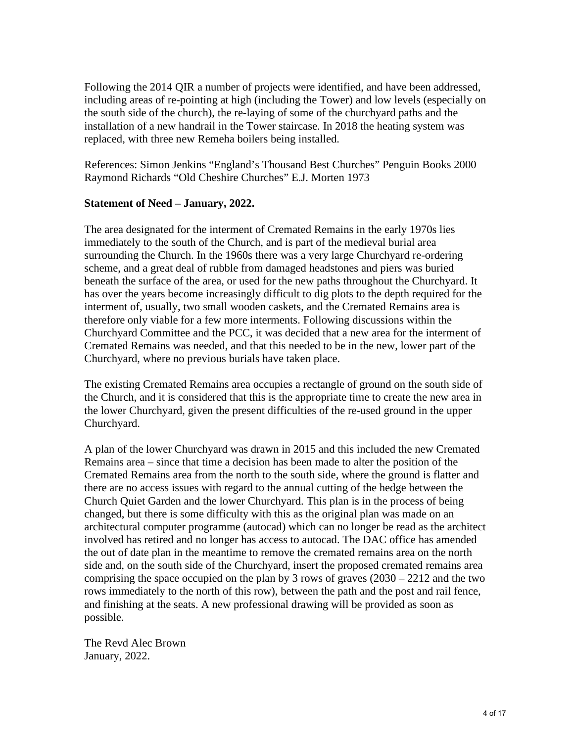Following the 2014 QIR a number of projects were identified, and have been addressed, including areas of re-pointing at high (including the Tower) and low levels (especially on the south side of the church), the re-laying of some of the churchyard paths and the installation of a new handrail in the Tower staircase. In 2018 the heating system was replaced, with three new Remeha boilers being installed.

References: Simon Jenkins "England's Thousand Best Churches" Penguin Books 2000 Raymond Richards "Old Cheshire Churches" E.J. Morten 1973

# **Statement of Need – January, 2022.**

The area designated for the interment of Cremated Remains in the early 1970s lies immediately to the south of the Church, and is part of the medieval burial area surrounding the Church. In the 1960s there was a very large Churchyard re-ordering scheme, and a great deal of rubble from damaged headstones and piers was buried beneath the surface of the area, or used for the new paths throughout the Churchyard. It has over the years become increasingly difficult to dig plots to the depth required for the interment of, usually, two small wooden caskets, and the Cremated Remains area is therefore only viable for a few more interments. Following discussions within the Churchyard Committee and the PCC, it was decided that a new area for the interment of Cremated Remains was needed, and that this needed to be in the new, lower part of the Churchyard, where no previous burials have taken place.

The existing Cremated Remains area occupies a rectangle of ground on the south side of the Church, and it is considered that this is the appropriate time to create the new area in the lower Churchyard, given the present difficulties of the re-used ground in the upper Churchyard.

A plan of the lower Churchyard was drawn in 2015 and this included the new Cremated Remains area – since that time a decision has been made to alter the position of the Cremated Remains area from the north to the south side, where the ground is flatter and there are no access issues with regard to the annual cutting of the hedge between the Church Quiet Garden and the lower Churchyard. This plan is in the process of being changed, but there is some difficulty with this as the original plan was made on an architectural computer programme (autocad) which can no longer be read as the architect involved has retired and no longer has access to autocad. The DAC office has amended the out of date plan in the meantime to remove the cremated remains area on the north side and, on the south side of the Churchyard, insert the proposed cremated remains area comprising the space occupied on the plan by 3 rows of graves  $(2030 - 2212)$  and the two rows immediately to the north of this row), between the path and the post and rail fence, and finishing at the seats. A new professional drawing will be provided as soon as possible.

The Revd Alec Brown January, 2022.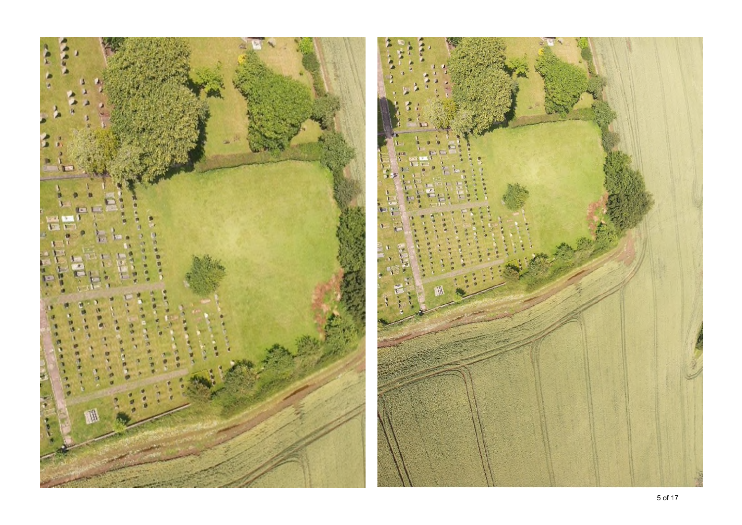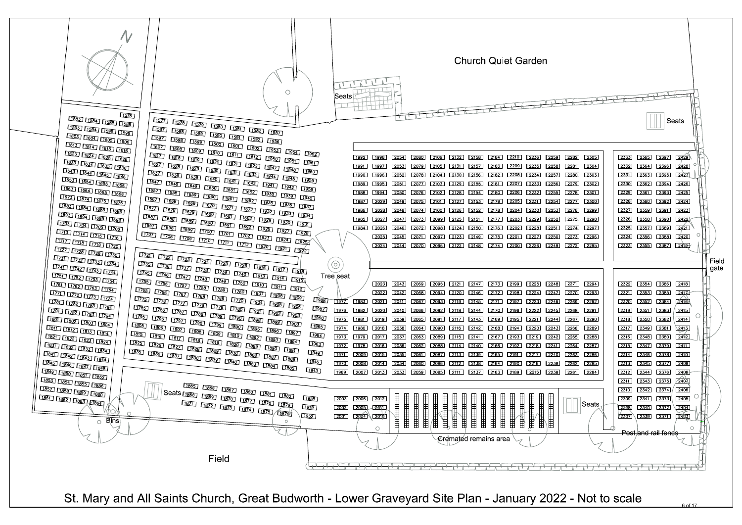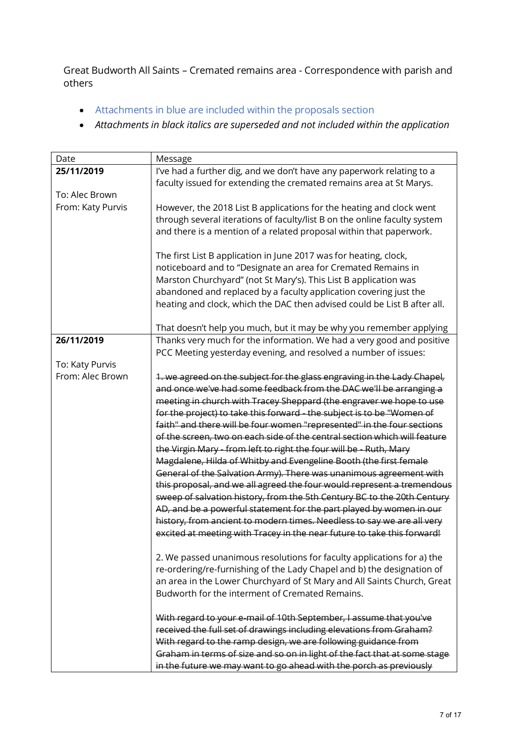Great Budworth All Saints – Cremated remains area - Correspondence with parish and others

- Attachments in blue are included within the proposals section
- *Attachments in black italics are superseded and not included within the application*

| Date              | Message                                                                   |
|-------------------|---------------------------------------------------------------------------|
| 25/11/2019        | I've had a further dig, and we don't have any paperwork relating to a     |
|                   | faculty issued for extending the cremated remains area at St Marys.       |
| To: Alec Brown    |                                                                           |
| From: Katy Purvis | However, the 2018 List B applications for the heating and clock went      |
|                   | through several iterations of faculty/list B on the online faculty system |
|                   | and there is a mention of a related proposal within that paperwork.       |
|                   |                                                                           |
|                   |                                                                           |
|                   | The first List B application in June 2017 was for heating, clock,         |
|                   | noticeboard and to "Designate an area for Cremated Remains in             |
|                   | Marston Churchyard" (not St Mary's). This List B application was          |
|                   | abandoned and replaced by a faculty application covering just the         |
|                   | heating and clock, which the DAC then advised could be List B after all.  |
|                   |                                                                           |
|                   | That doesn't help you much, but it may be why you remember applying       |
| 26/11/2019        | Thanks very much for the information. We had a very good and positive     |
|                   | PCC Meeting yesterday evening, and resolved a number of issues:           |
| To: Katy Purvis   |                                                                           |
| From: Alec Brown  | 1. we agreed on the subject for the glass engraving in the Lady Chapel,   |
|                   | and once we've had some feedback from the DAC we'll be arranging a        |
|                   | meeting in church with Tracey Sheppard (the engraver we hope to use       |
|                   | for the project) to take this forward - the subject is to be "Women of    |
|                   | faith" and there will be four women "represented" in the four sections    |
|                   | of the screen, two on each side of the central section which will feature |
|                   |                                                                           |
|                   | the Virgin Mary - from left to right the four will be - Ruth, Mary        |
|                   | Magdalene, Hilda of Whitby and Evengeline Booth (the first female         |
|                   | General of the Salvation Army). There was unanimous agreement with        |
|                   | this proposal, and we all agreed the four would represent a tremendous    |
|                   | sweep of salvation history, from the 5th Century BC to the 20th Century   |
|                   | AD, and be a powerful statement for the part played by women in our       |
|                   | history, from ancient to modern times. Needless to say we are all very    |
|                   | excited at meeting with Tracey in the near future to take this forward!   |
|                   |                                                                           |
|                   | 2. We passed unanimous resolutions for faculty applications for a) the    |
|                   | re-ordering/re-furnishing of the Lady Chapel and b) the designation of    |
|                   | an area in the Lower Churchyard of St Mary and All Saints Church, Great   |
|                   | Budworth for the interment of Cremated Remains.                           |
|                   |                                                                           |
|                   | With regard to your e-mail of 10th September, I assume that you've        |
|                   | received the full set of drawings including elevations from Graham?       |
|                   |                                                                           |
|                   | With regard to the ramp design, we are following guidance from            |
|                   | Graham in terms of size and so on in light of the fact that at some stage |
|                   | in the future we may want to go ahead with the porch as previously        |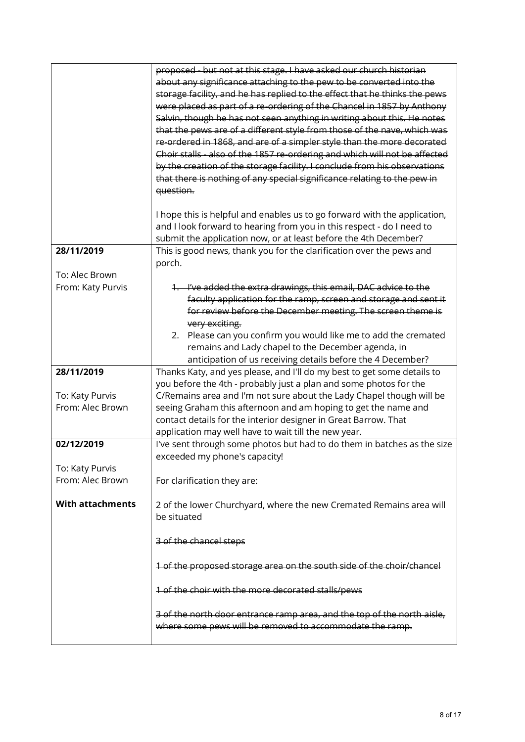|                         | proposed - but not at this stage. I have asked our church historian        |
|-------------------------|----------------------------------------------------------------------------|
|                         | about any significance attaching to the pew to be converted into the       |
|                         | storage facility, and he has replied to the effect that he thinks the pews |
|                         | were placed as part of a re-ordering of the Chancel in 1857 by Anthony     |
|                         | Salvin, though he has not seen anything in writing about this. He notes    |
|                         | that the pews are of a different style from those of the nave, which was   |
|                         | re-ordered in 1868, and are of a simpler style than the more decorated     |
|                         | Choir stalls - also of the 1857 re-ordering and which will not be affected |
|                         | by the creation of the storage facility. I conclude from his observations  |
|                         | that there is nothing of any special significance relating to the pew in   |
|                         | question.                                                                  |
|                         |                                                                            |
|                         | I hope this is helpful and enables us to go forward with the application,  |
|                         | and I look forward to hearing from you in this respect - do I need to      |
|                         | submit the application now, or at least before the 4th December?           |
| 28/11/2019              | This is good news, thank you for the clarification over the pews and       |
|                         | porch.                                                                     |
| To: Alec Brown          |                                                                            |
| From: Katy Purvis       | 1. I've added the extra drawings, this email, DAC advice to the            |
|                         | faculty application for the ramp, screen and storage and sent it           |
|                         | for review before the December meeting. The screen theme is                |
|                         | very exciting.                                                             |
|                         | 2. Please can you confirm you would like me to add the cremated            |
|                         | remains and Lady chapel to the December agenda, in                         |
|                         | anticipation of us receiving details before the 4 December?                |
| 28/11/2019              | Thanks Katy, and yes please, and I'll do my best to get some details to    |
|                         | you before the 4th - probably just a plan and some photos for the          |
| To: Katy Purvis         | C/Remains area and I'm not sure about the Lady Chapel though will be       |
|                         |                                                                            |
|                         |                                                                            |
| From: Alec Brown        | seeing Graham this afternoon and am hoping to get the name and             |
|                         | contact details for the interior designer in Great Barrow. That            |
|                         | application may well have to wait till the new year.                       |
| 02/12/2019              | I've sent through some photos but had to do them in batches as the size    |
|                         | exceeded my phone's capacity!                                              |
| To: Katy Purvis         |                                                                            |
| From: Alec Brown        | For clarification they are:                                                |
|                         |                                                                            |
| <b>With attachments</b> | 2 of the lower Churchyard, where the new Cremated Remains area will        |
|                         | be situated                                                                |
|                         |                                                                            |
|                         | 3 of the chancel steps                                                     |
|                         |                                                                            |
|                         | 1 of the proposed storage area on the south side of the choir/chancel      |
|                         |                                                                            |
|                         | 1 of the choir with the more decorated stalls/pews                         |
|                         |                                                                            |
|                         | 3 of the north door entrance ramp area, and the top of the north aisle,    |
|                         | where some pews will be removed to accommodate the ramp.                   |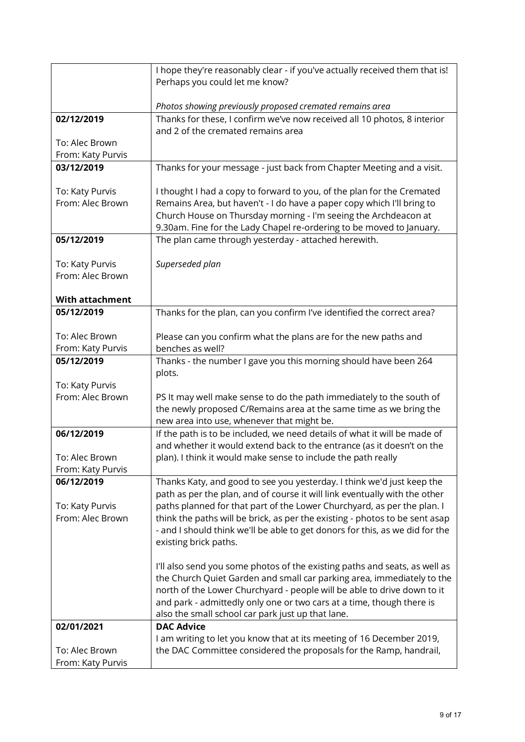|                                     | I hope they're reasonably clear - if you've actually received them that is!<br>Perhaps you could let me know?                                                                                                                                                                                                                                                 |
|-------------------------------------|---------------------------------------------------------------------------------------------------------------------------------------------------------------------------------------------------------------------------------------------------------------------------------------------------------------------------------------------------------------|
|                                     | Photos showing previously proposed cremated remains area                                                                                                                                                                                                                                                                                                      |
| 02/12/2019<br>To: Alec Brown        | Thanks for these, I confirm we've now received all 10 photos, 8 interior<br>and 2 of the cremated remains area                                                                                                                                                                                                                                                |
| From: Katy Purvis                   |                                                                                                                                                                                                                                                                                                                                                               |
| 03/12/2019                          | Thanks for your message - just back from Chapter Meeting and a visit.                                                                                                                                                                                                                                                                                         |
| To: Katy Purvis<br>From: Alec Brown | I thought I had a copy to forward to you, of the plan for the Cremated<br>Remains Area, but haven't - I do have a paper copy which I'll bring to<br>Church House on Thursday morning - I'm seeing the Archdeacon at<br>9.30am. Fine for the Lady Chapel re-ordering to be moved to January.                                                                   |
| 05/12/2019                          | The plan came through yesterday - attached herewith.                                                                                                                                                                                                                                                                                                          |
| To: Katy Purvis                     | Superseded plan                                                                                                                                                                                                                                                                                                                                               |
| From: Alec Brown                    |                                                                                                                                                                                                                                                                                                                                                               |
| <b>With attachment</b>              |                                                                                                                                                                                                                                                                                                                                                               |
| 05/12/2019                          | Thanks for the plan, can you confirm I've identified the correct area?                                                                                                                                                                                                                                                                                        |
| To: Alec Brown                      | Please can you confirm what the plans are for the new paths and                                                                                                                                                                                                                                                                                               |
| From: Katy Purvis                   | benches as well?                                                                                                                                                                                                                                                                                                                                              |
| 05/12/2019                          | Thanks - the number I gave you this morning should have been 264<br>plots.                                                                                                                                                                                                                                                                                    |
| To: Katy Purvis                     |                                                                                                                                                                                                                                                                                                                                                               |
| From: Alec Brown                    | PS It may well make sense to do the path immediately to the south of<br>the newly proposed C/Remains area at the same time as we bring the<br>new area into use, whenever that might be.                                                                                                                                                                      |
| 06/12/2019                          | If the path is to be included, we need details of what it will be made of<br>and whether it would extend back to the entrance (as it doesn't on the                                                                                                                                                                                                           |
| To: Alec Brown<br>From: Katy Purvis | plan). I think it would make sense to include the path really                                                                                                                                                                                                                                                                                                 |
| 06/12/2019                          | Thanks Katy, and good to see you yesterday. I think we'd just keep the                                                                                                                                                                                                                                                                                        |
| To: Katy Purvis                     | path as per the plan, and of course it will link eventually with the other<br>paths planned for that part of the Lower Churchyard, as per the plan. I                                                                                                                                                                                                         |
| From: Alec Brown                    | think the paths will be brick, as per the existing - photos to be sent asap<br>- and I should think we'll be able to get donors for this, as we did for the<br>existing brick paths.                                                                                                                                                                          |
|                                     | I'll also send you some photos of the existing paths and seats, as well as<br>the Church Quiet Garden and small car parking area, immediately to the<br>north of the Lower Churchyard - people will be able to drive down to it<br>and park - admittedly only one or two cars at a time, though there is<br>also the small school car park just up that lane. |
| 02/01/2021                          | <b>DAC Advice</b>                                                                                                                                                                                                                                                                                                                                             |
|                                     | I am writing to let you know that at its meeting of 16 December 2019,                                                                                                                                                                                                                                                                                         |
| To: Alec Brown<br>From: Katy Purvis | the DAC Committee considered the proposals for the Ramp, handrail,                                                                                                                                                                                                                                                                                            |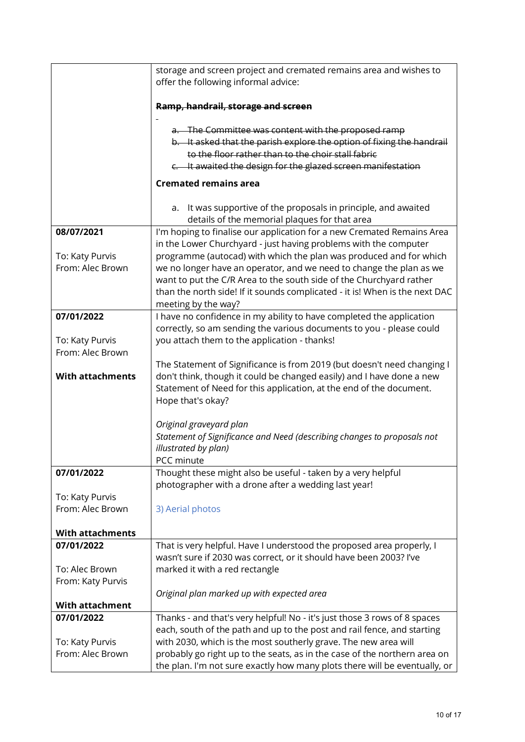|                                     | storage and screen project and cremated remains area and wishes to<br>offer the following informal advice:                                                                                                                                                                                                             |
|-------------------------------------|------------------------------------------------------------------------------------------------------------------------------------------------------------------------------------------------------------------------------------------------------------------------------------------------------------------------|
|                                     | Ramp, handrail, storage and screen                                                                                                                                                                                                                                                                                     |
|                                     | a. The Committee was content with the proposed ramp<br>b. It asked that the parish explore the option of fixing the handrail<br>to the floor rather than to the choir stall fabric<br>c. It awaited the design for the glazed screen manifestation                                                                     |
|                                     | <b>Cremated remains area</b>                                                                                                                                                                                                                                                                                           |
|                                     | It was supportive of the proposals in principle, and awaited<br>a.<br>details of the memorial plaques for that area                                                                                                                                                                                                    |
| 08/07/2021                          | I'm hoping to finalise our application for a new Cremated Remains Area<br>in the Lower Churchyard - just having problems with the computer                                                                                                                                                                             |
| To: Katy Purvis<br>From: Alec Brown | programme (autocad) with which the plan was produced and for which<br>we no longer have an operator, and we need to change the plan as we<br>want to put the C/R Area to the south side of the Churchyard rather<br>than the north side! If it sounds complicated - it is! When is the next DAC<br>meeting by the way? |
| 07/01/2022                          | I have no confidence in my ability to have completed the application<br>correctly, so am sending the various documents to you - please could                                                                                                                                                                           |
| To: Katy Purvis<br>From: Alec Brown | you attach them to the application - thanks!                                                                                                                                                                                                                                                                           |
| <b>With attachments</b>             | The Statement of Significance is from 2019 (but doesn't need changing I<br>don't think, though it could be changed easily) and I have done a new<br>Statement of Need for this application, at the end of the document.<br>Hope that's okay?                                                                           |
|                                     | Original graveyard plan<br>Statement of Significance and Need (describing changes to proposals not<br>illustrated by plan)<br>PCC minute                                                                                                                                                                               |
| 07/01/2022                          | Thought these might also be useful - taken by a very helpful<br>photographer with a drone after a wedding last year!                                                                                                                                                                                                   |
| To: Katy Purvis<br>From: Alec Brown | 3) Aerial photos                                                                                                                                                                                                                                                                                                       |
| <b>With attachments</b>             |                                                                                                                                                                                                                                                                                                                        |
| 07/01/2022                          | That is very helpful. Have I understood the proposed area properly, I<br>wasn't sure if 2030 was correct, or it should have been 2003? I've                                                                                                                                                                            |
| To: Alec Brown                      | marked it with a red rectangle                                                                                                                                                                                                                                                                                         |
| From: Katy Purvis                   | Original plan marked up with expected area                                                                                                                                                                                                                                                                             |
| <b>With attachment</b>              |                                                                                                                                                                                                                                                                                                                        |
| 07/01/2022                          | Thanks - and that's very helpful! No - it's just those 3 rows of 8 spaces<br>each, south of the path and up to the post and rail fence, and starting                                                                                                                                                                   |
| To: Katy Purvis                     | with 2030, which is the most southerly grave. The new area will                                                                                                                                                                                                                                                        |
| From: Alec Brown                    | probably go right up to the seats, as in the case of the northern area on<br>the plan. I'm not sure exactly how many plots there will be eventually, or                                                                                                                                                                |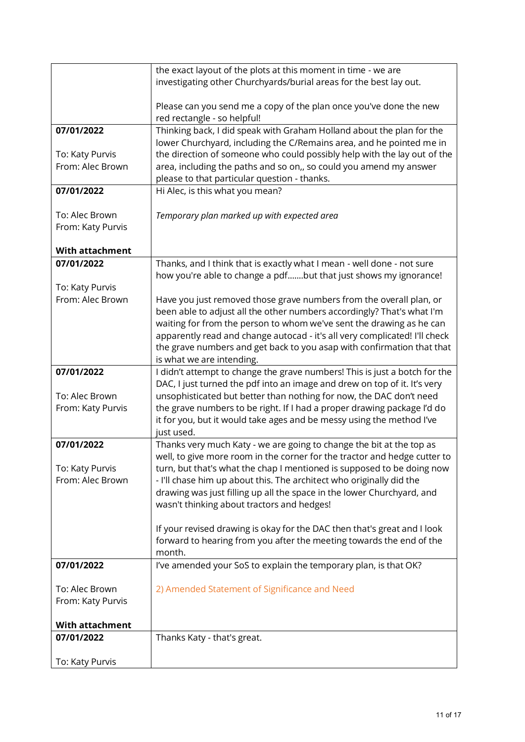|                                      | the exact layout of the plots at this moment in time - we are<br>investigating other Churchyards/burial areas for the best lay out.                                                                                                                                                                                                                 |
|--------------------------------------|-----------------------------------------------------------------------------------------------------------------------------------------------------------------------------------------------------------------------------------------------------------------------------------------------------------------------------------------------------|
|                                      | Please can you send me a copy of the plan once you've done the new<br>red rectangle - so helpful!                                                                                                                                                                                                                                                   |
| 07/01/2022                           | Thinking back, I did speak with Graham Holland about the plan for the<br>lower Churchyard, including the C/Remains area, and he pointed me in                                                                                                                                                                                                       |
| To: Katy Purvis                      | the direction of someone who could possibly help with the lay out of the                                                                                                                                                                                                                                                                            |
| From: Alec Brown                     | area, including the paths and so on,, so could you amend my answer<br>please to that particular question - thanks.                                                                                                                                                                                                                                  |
| 07/01/2022                           | Hi Alec, is this what you mean?                                                                                                                                                                                                                                                                                                                     |
| To: Alec Brown<br>From: Katy Purvis  | Temporary plan marked up with expected area                                                                                                                                                                                                                                                                                                         |
| <b>With attachment</b>               |                                                                                                                                                                                                                                                                                                                                                     |
| 07/01/2022                           | Thanks, and I think that is exactly what I mean - well done - not sure<br>how you're able to change a pdfbut that just shows my ignorance!                                                                                                                                                                                                          |
| To: Katy Purvis                      |                                                                                                                                                                                                                                                                                                                                                     |
| From: Alec Brown                     | Have you just removed those grave numbers from the overall plan, or                                                                                                                                                                                                                                                                                 |
|                                      | been able to adjust all the other numbers accordingly? That's what I'm<br>waiting for from the person to whom we've sent the drawing as he can                                                                                                                                                                                                      |
|                                      | apparently read and change autocad - it's all very complicated! I'll check                                                                                                                                                                                                                                                                          |
|                                      | the grave numbers and get back to you asap with confirmation that that                                                                                                                                                                                                                                                                              |
|                                      | is what we are intending.                                                                                                                                                                                                                                                                                                                           |
| 07/01/2022                           | I didn't attempt to change the grave numbers! This is just a botch for the<br>DAC, I just turned the pdf into an image and drew on top of it. It's very                                                                                                                                                                                             |
| To: Alec Brown<br>From: Katy Purvis  | unsophisticated but better than nothing for now, the DAC don't need<br>the grave numbers to be right. If I had a proper drawing package I'd do                                                                                                                                                                                                      |
|                                      | it for you, but it would take ages and be messy using the method I've<br>just used.                                                                                                                                                                                                                                                                 |
| 07/01/2022                           | Thanks very much Katy - we are going to change the bit at the top as                                                                                                                                                                                                                                                                                |
| To: Katy Purvis<br>From: Alec Brown  | well, to give more room in the corner for the tractor and hedge cutter to<br>turn, but that's what the chap I mentioned is supposed to be doing now<br>- I'll chase him up about this. The architect who originally did the<br>drawing was just filling up all the space in the lower Churchyard, and<br>wasn't thinking about tractors and hedges! |
|                                      | If your revised drawing is okay for the DAC then that's great and I look<br>forward to hearing from you after the meeting towards the end of the<br>month.                                                                                                                                                                                          |
| 07/01/2022                           | I've amended your SoS to explain the temporary plan, is that OK?                                                                                                                                                                                                                                                                                    |
| To: Alec Brown<br>From: Katy Purvis  | 2) Amended Statement of Significance and Need                                                                                                                                                                                                                                                                                                       |
| <b>With attachment</b><br>07/01/2022 | Thanks Katy - that's great.                                                                                                                                                                                                                                                                                                                         |
| To: Katy Purvis                      |                                                                                                                                                                                                                                                                                                                                                     |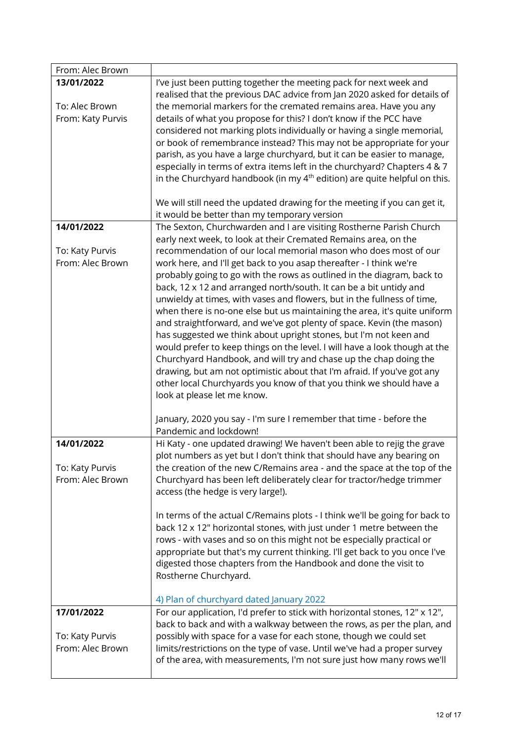| From: Alec Brown                                  |                                                                                                                                                                                                                                                                                                                                                                                                                                                                                                                                                                                                                                                                                                                                                                                                                                                                                                                                                                                                                                                                            |
|---------------------------------------------------|----------------------------------------------------------------------------------------------------------------------------------------------------------------------------------------------------------------------------------------------------------------------------------------------------------------------------------------------------------------------------------------------------------------------------------------------------------------------------------------------------------------------------------------------------------------------------------------------------------------------------------------------------------------------------------------------------------------------------------------------------------------------------------------------------------------------------------------------------------------------------------------------------------------------------------------------------------------------------------------------------------------------------------------------------------------------------|
| 13/01/2022<br>To: Alec Brown<br>From: Katy Purvis | I've just been putting together the meeting pack for next week and<br>realised that the previous DAC advice from Jan 2020 asked for details of<br>the memorial markers for the cremated remains area. Have you any<br>details of what you propose for this? I don't know if the PCC have<br>considered not marking plots individually or having a single memorial,<br>or book of remembrance instead? This may not be appropriate for your<br>parish, as you have a large churchyard, but it can be easier to manage,<br>especially in terms of extra items left in the churchyard? Chapters 4 & 7<br>in the Churchyard handbook (in my $4th$ edition) are quite helpful on this.<br>We will still need the updated drawing for the meeting if you can get it,                                                                                                                                                                                                                                                                                                             |
|                                                   | it would be better than my temporary version                                                                                                                                                                                                                                                                                                                                                                                                                                                                                                                                                                                                                                                                                                                                                                                                                                                                                                                                                                                                                               |
| 14/01/2022<br>To: Katy Purvis<br>From: Alec Brown | The Sexton, Churchwarden and I are visiting Rostherne Parish Church<br>early next week, to look at their Cremated Remains area, on the<br>recommendation of our local memorial mason who does most of our<br>work here, and I'll get back to you asap thereafter - I think we're<br>probably going to go with the rows as outlined in the diagram, back to<br>back, 12 x 12 and arranged north/south. It can be a bit untidy and<br>unwieldy at times, with vases and flowers, but in the fullness of time,<br>when there is no-one else but us maintaining the area, it's quite uniform<br>and straightforward, and we've got plenty of space. Kevin (the mason)<br>has suggested we think about upright stones, but I'm not keen and<br>would prefer to keep things on the level. I will have a look though at the<br>Churchyard Handbook, and will try and chase up the chap doing the<br>drawing, but am not optimistic about that I'm afraid. If you've got any<br>other local Churchyards you know of that you think we should have a<br>look at please let me know. |
|                                                   | January, 2020 you say - I'm sure I remember that time - before the<br>Pandemic and lockdown!                                                                                                                                                                                                                                                                                                                                                                                                                                                                                                                                                                                                                                                                                                                                                                                                                                                                                                                                                                               |
| 14/01/2022<br>To: Katy Purvis<br>From: Alec Brown | Hi Katy - one updated drawing! We haven't been able to rejig the grave<br>plot numbers as yet but I don't think that should have any bearing on<br>the creation of the new C/Remains area - and the space at the top of the<br>Churchyard has been left deliberately clear for tractor/hedge trimmer<br>access (the hedge is very large!).<br>In terms of the actual C/Remains plots - I think we'll be going for back to<br>back 12 x 12" horizontal stones, with just under 1 metre between the<br>rows - with vases and so on this might not be especially practical or<br>appropriate but that's my current thinking. I'll get back to you once I've<br>digested those chapters from the Handbook and done the visit to<br>Rostherne Churchyard.                                                                                                                                                                                                                                                                                                                       |
|                                                   | 4) Plan of churchyard dated January 2022                                                                                                                                                                                                                                                                                                                                                                                                                                                                                                                                                                                                                                                                                                                                                                                                                                                                                                                                                                                                                                   |
| 17/01/2022<br>To: Katy Purvis<br>From: Alec Brown | For our application, I'd prefer to stick with horizontal stones, 12" x 12",<br>back to back and with a walkway between the rows, as per the plan, and<br>possibly with space for a vase for each stone, though we could set<br>limits/restrictions on the type of vase. Until we've had a proper survey<br>of the area, with measurements, I'm not sure just how many rows we'll                                                                                                                                                                                                                                                                                                                                                                                                                                                                                                                                                                                                                                                                                           |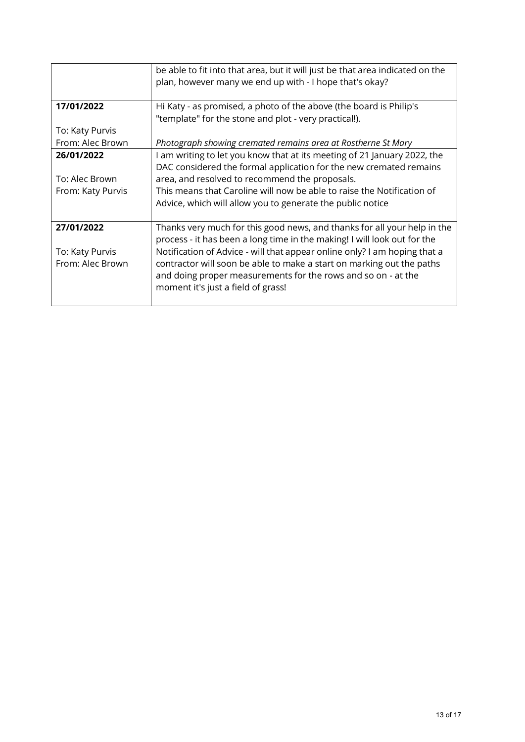|                                                   | be able to fit into that area, but it will just be that area indicated on the<br>plan, however many we end up with - I hope that's okay?                                                                                                                                                                                                                                                                          |
|---------------------------------------------------|-------------------------------------------------------------------------------------------------------------------------------------------------------------------------------------------------------------------------------------------------------------------------------------------------------------------------------------------------------------------------------------------------------------------|
| 17/01/2022                                        | Hi Katy - as promised, a photo of the above (the board is Philip's                                                                                                                                                                                                                                                                                                                                                |
|                                                   | "template" for the stone and plot - very practical!).                                                                                                                                                                                                                                                                                                                                                             |
| To: Katy Purvis                                   |                                                                                                                                                                                                                                                                                                                                                                                                                   |
| From: Alec Brown                                  | Photograph showing cremated remains area at Rostherne St Mary                                                                                                                                                                                                                                                                                                                                                     |
| 26/01/2022                                        | I am writing to let you know that at its meeting of 21 January 2022, the<br>DAC considered the formal application for the new cremated remains                                                                                                                                                                                                                                                                    |
| To: Alec Brown                                    | area, and resolved to recommend the proposals.                                                                                                                                                                                                                                                                                                                                                                    |
| From: Katy Purvis                                 | This means that Caroline will now be able to raise the Notification of<br>Advice, which will allow you to generate the public notice                                                                                                                                                                                                                                                                              |
| 27/01/2022<br>To: Katy Purvis<br>From: Alec Brown | Thanks very much for this good news, and thanks for all your help in the<br>process - it has been a long time in the making! I will look out for the<br>Notification of Advice - will that appear online only? I am hoping that a<br>contractor will soon be able to make a start on marking out the paths<br>and doing proper measurements for the rows and so on - at the<br>moment it's just a field of grass! |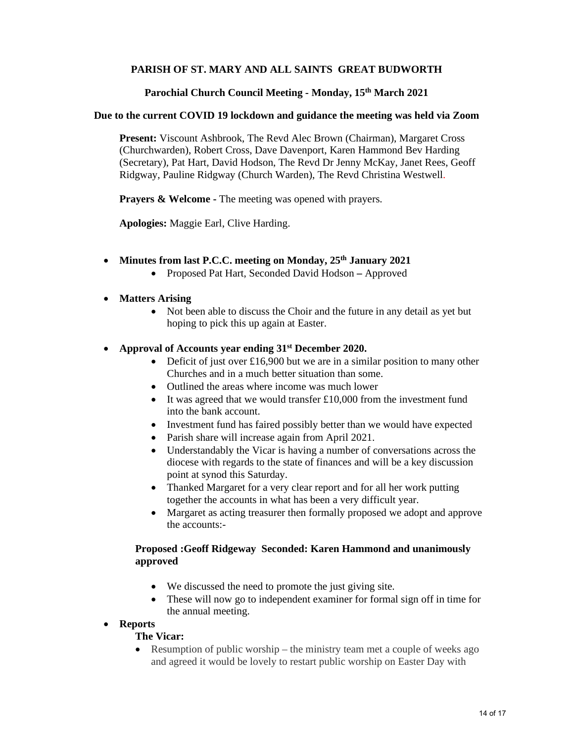# **PARISH OF ST. MARY AND ALL SAINTS GREAT BUDWORTH**

### **Parochial Church Council Meeting - Monday, 15th March 2021**

#### **Due to the current COVID 19 lockdown and guidance the meeting was held via Zoom**

**Present:** Viscount Ashbrook, The Revd Alec Brown (Chairman), Margaret Cross (Churchwarden), Robert Cross, Dave Davenport, Karen Hammond Bev Harding (Secretary), Pat Hart, David Hodson, The Revd Dr Jenny McKay, Janet Rees, Geoff Ridgway, Pauline Ridgway (Church Warden), The Revd Christina Westwell.

**Prayers & Welcome - The meeting was opened with prayers.** 

**Apologies:** Maggie Earl, Clive Harding.

- Minutes from last P.C.C. meeting on Monday, 25<sup>th</sup> January 2021
	- Proposed Pat Hart, Seconded David HodsonApproved

#### **Matters Arising**

• Not been able to discuss the Choir and the future in any detail as yet but hoping to pick this up again at Easter.

#### **Approval of Accounts year ending 31st December 2020.**

- $\bullet$  Deficit of just over £16,900 but we are in a similar position to many other Churches and in a much better situation than some.
- Outlined the areas where income was much lower
- It was agreed that we would transfer  $£10,000$  from the investment fund into the bank account.
- Investment fund has faired possibly better than we would have expected
- Parish share will increase again from April 2021.
- Understandably the Vicar is having a number of conversations across the diocese with regards to the state of finances and will be a key discussion point at synod this Saturday.
- Thanked Margaret for a very clear report and for all her work putting together the accounts in what has been a very difficult year.
- Margaret as acting treasurer then formally proposed we adopt and approve the accounts:-

# **Proposed :Geoff Ridgeway Seconded: Karen Hammond and unanimously approved**

- We discussed the need to promote the just giving site.
- These will now go to independent examiner for formal sign off in time for the annual meeting.

#### **Reports**

### **The Vicar:**

• Resumption of public worship – the ministry team met a couple of weeks ago and agreed it would be lovely to restart public worship on Easter Day with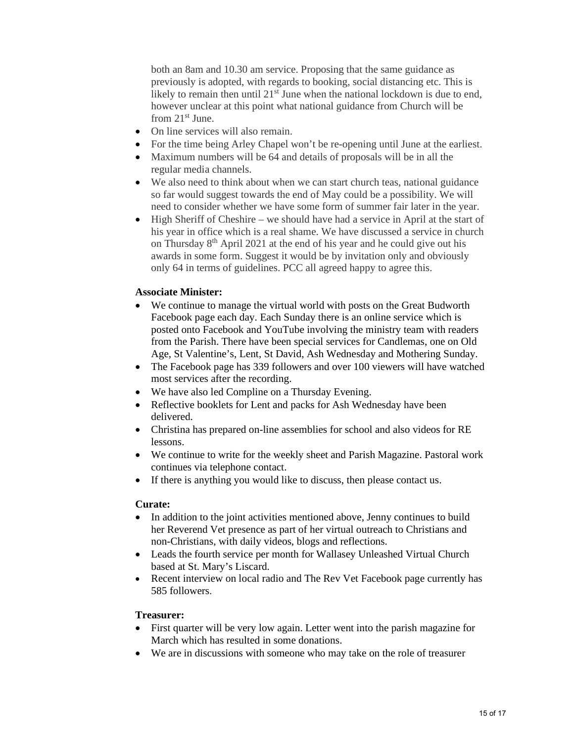both an 8am and 10.30 am service. Proposing that the same guidance as previously is adopted, with regards to booking, social distancing etc. This is likely to remain then until  $21<sup>st</sup>$  June when the national lockdown is due to end, however unclear at this point what national guidance from Church will be from  $21<sup>st</sup>$  June.

- On line services will also remain.
- For the time being Arley Chapel won't be re-opening until June at the earliest.
- Maximum numbers will be 64 and details of proposals will be in all the regular media channels.
- We also need to think about when we can start church teas, national guidance so far would suggest towards the end of May could be a possibility. We will need to consider whether we have some form of summer fair later in the year.
- $\bullet$  High Sheriff of Cheshire we should have had a service in April at the start of his year in office which is a real shame. We have discussed a service in church on Thursday  $8<sup>th</sup>$  April 2021 at the end of his year and he could give out his awards in some form. Suggest it would be by invitation only and obviously only 64 in terms of guidelines. PCC all agreed happy to agree this.

#### **Associate Minister:**

- We continue to manage the virtual world with posts on the Great Budworth Facebook page each day. Each Sunday there is an online service which is posted onto Facebook and YouTube involving the ministry team with readers from the Parish. There have been special services for Candlemas, one on Old Age, St Valentine's, Lent, St David, Ash Wednesday and Mothering Sunday.
- The Facebook page has 339 followers and over 100 viewers will have watched most services after the recording.
- We have also led Compline on a Thursday Evening.
- Reflective booklets for Lent and packs for Ash Wednesday have been delivered.
- Christina has prepared on-line assemblies for school and also videos for RE lessons.
- We continue to write for the weekly sheet and Parish Magazine. Pastoral work continues via telephone contact.
- If there is anything you would like to discuss, then please contact us.

#### **Curate:**

- In addition to the joint activities mentioned above, Jenny continues to build her Reverend Vet presence as part of her virtual outreach to Christians and non-Christians, with daily videos, blogs and reflections.
- Leads the fourth service per month for Wallasey Unleashed Virtual Church based at St. Mary's Liscard.
- Recent interview on local radio and The Rev Vet Facebook page currently has 585 followers.

#### **Treasurer:**

- First quarter will be very low again. Letter went into the parish magazine for March which has resulted in some donations.
- We are in discussions with someone who may take on the role of treasurer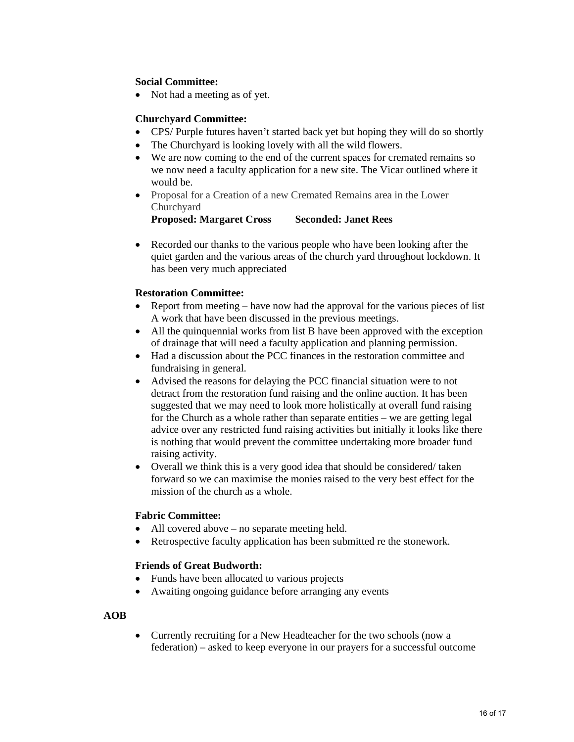# **Social Committee:**

• Not had a meeting as of yet.

### **Churchyard Committee:**

- CPS/ Purple futures haven't started back yet but hoping they will do so shortly
- The Churchyard is looking lovely with all the wild flowers.
- We are now coming to the end of the current spaces for cremated remains so we now need a faculty application for a new site. The Vicar outlined where it would be.
- Proposal for a Creation of a new Cremated Remains area in the Lower **Churchyard**

# **Proposed: Margaret Cross Seconded: Janet Rees**

 Recorded our thanks to the various people who have been looking after the quiet garden and the various areas of the church yard throughout lockdown. It has been very much appreciated

#### **Restoration Committee:**

- Report from meeting  $-$  have now had the approval for the various pieces of list A work that have been discussed in the previous meetings.
- All the quinquennial works from list B have been approved with the exception of drainage that will need a faculty application and planning permission.
- Had a discussion about the PCC finances in the restoration committee and fundraising in general.
- Advised the reasons for delaying the PCC financial situation were to not detract from the restoration fund raising and the online auction. It has been suggested that we may need to look more holistically at overall fund raising for the Church as a whole rather than separate entities – we are getting legal advice over any restricted fund raising activities but initially it looks like there is nothing that would prevent the committee undertaking more broader fund raising activity.
- Overall we think this is a very good idea that should be considered/ taken forward so we can maximise the monies raised to the very best effect for the mission of the church as a whole.

#### **Fabric Committee:**

- All covered above no separate meeting held.
- Retrospective faculty application has been submitted re the stonework.

#### **Friends of Great Budworth:**

- Funds have been allocated to various projects
- Awaiting ongoing guidance before arranging any events

# **AOB**

• Currently recruiting for a New Headteacher for the two schools (now a federation) – asked to keep everyone in our prayers for a successful outcome